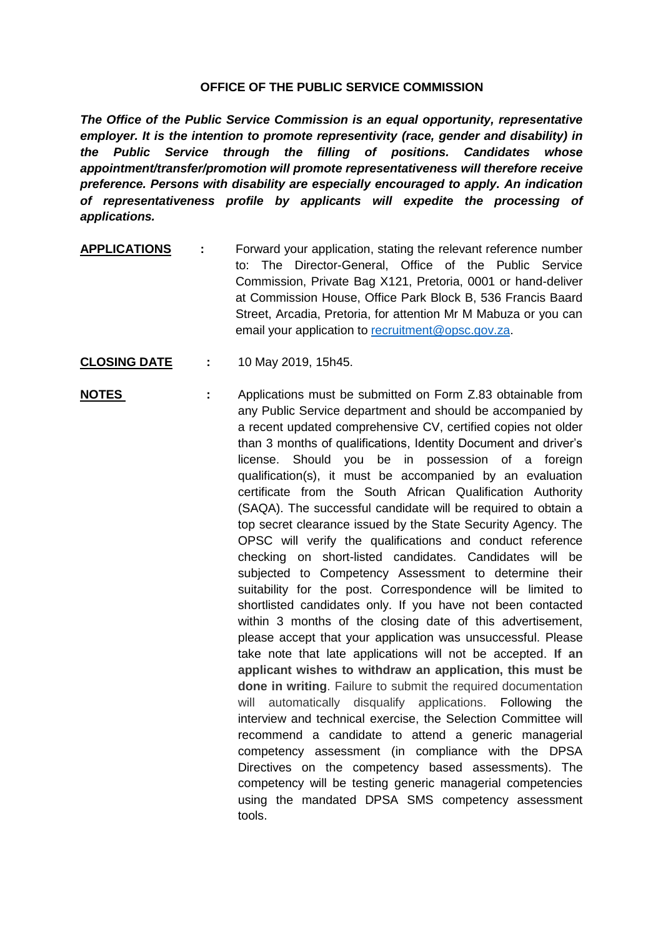## **OFFICE OF THE PUBLIC SERVICE COMMISSION**

*The Office of the Public Service Commission is an equal opportunity, representative employer. It is the intention to promote representivity (race, gender and disability) in the Public Service through the filling of positions. Candidates whose appointment/transfer/promotion will promote representativeness will therefore receive preference. Persons with disability are especially encouraged to apply. An indication of representativeness profile by applicants will expedite the processing of applications.*

- **APPLICATIONS :** Forward your application, stating the relevant reference number to: The Director-General, Office of the Public Service Commission, Private Bag X121, Pretoria, 0001 or hand-deliver at Commission House, Office Park Block B, 536 Francis Baard Street, Arcadia, Pretoria, for attention Mr M Mabuza or you can email your application to [recruitment@opsc.gov.za.](mailto:recruitment@opsc.gov.za)
- **CLOSING DATE :** 10 May 2019, 15h45.
- **NOTES** : Applications must be submitted on Form Z.83 obtainable from any Public Service department and should be accompanied by a recent updated comprehensive CV, certified copies not older than 3 months of qualifications, Identity Document and driver's license. Should you be in possession of a foreign qualification(s), it must be accompanied by an evaluation certificate from the South African Qualification Authority (SAQA). The successful candidate will be required to obtain a top secret clearance issued by the State Security Agency. The OPSC will verify the qualifications and conduct reference checking on short-listed candidates. Candidates will be subjected to Competency Assessment to determine their suitability for the post. Correspondence will be limited to shortlisted candidates only. If you have not been contacted within 3 months of the closing date of this advertisement, please accept that your application was unsuccessful. Please take note that late applications will not be accepted. **If an applicant wishes to withdraw an application, this must be done in writing**. Failure to submit the required documentation will automatically disqualify applications. Following the interview and technical exercise, the Selection Committee will recommend a candidate to attend a generic managerial competency assessment (in compliance with the DPSA Directives on the competency based assessments). The competency will be testing generic managerial competencies using the mandated DPSA SMS competency assessment tools.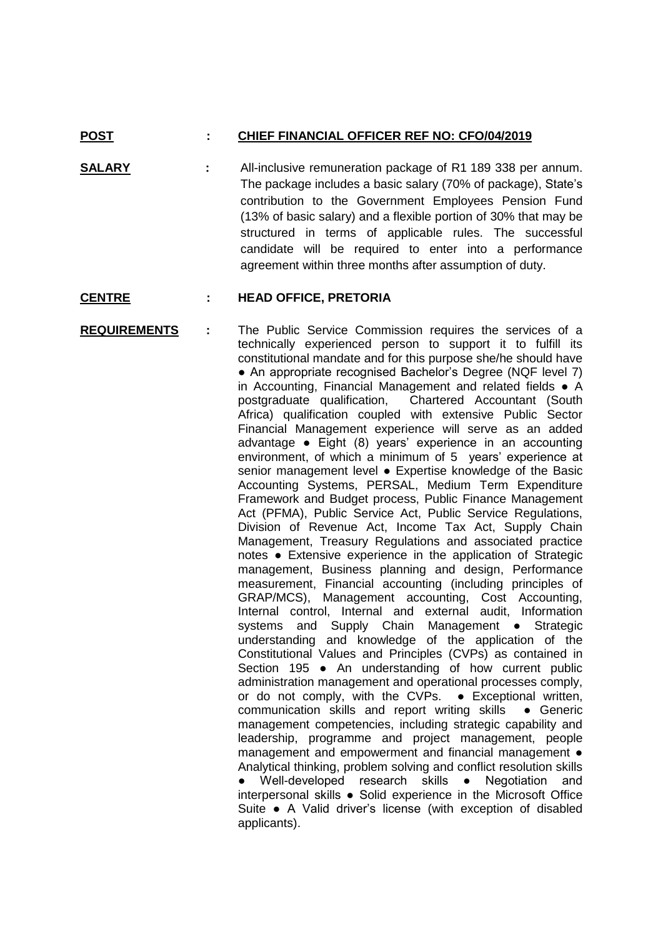## **POST : CHIEF FINANCIAL OFFICER REF NO: CFO/04/2019**

**SALARY :** All-inclusive remuneration package of R1 189 338 per annum. The package includes a basic salary (70% of package), State's contribution to the Government Employees Pension Fund (13% of basic salary) and a flexible portion of 30% that may be structured in terms of applicable rules. The successful candidate will be required to enter into a performance agreement within three months after assumption of duty.

## **CENTRE : HEAD OFFICE, PRETORIA**

**REQUIREMENTS :** The Public Service Commission requires the services of a technically experienced person to support it to fulfill its constitutional mandate and for this purpose she/he should have • An appropriate recognised Bachelor's Degree (NQF level 7) in Accounting, Financial Management and related fields ● A postgraduate qualification, Chartered Accountant (South Africa) qualification coupled with extensive Public Sector Financial Management experience will serve as an added advantage ● Eight (8) years' experience in an accounting environment, of which a minimum of 5 years' experience at senior management level . Expertise knowledge of the Basic Accounting Systems, PERSAL, Medium Term Expenditure Framework and Budget process, Public Finance Management Act (PFMA), Public Service Act, Public Service Regulations, Division of Revenue Act, Income Tax Act, Supply Chain Management, Treasury Regulations and associated practice notes ● Extensive experience in the application of Strategic management, Business planning and design, Performance measurement, Financial accounting (including principles of GRAP/MCS), Management accounting, Cost Accounting, Internal control, Internal and external audit, Information systems and Supply Chain Management • Strategic understanding and knowledge of the application of the Constitutional Values and Principles (CVPs) as contained in Section 195 • An understanding of how current public administration management and operational processes comply, or do not comply, with the CVPs. ● Exceptional written, communication skills and report writing skills ● Generic management competencies, including strategic capability and leadership, programme and project management, people management and empowerment and financial management ● Analytical thinking, problem solving and conflict resolution skills Well-developed research skills • Negotiation and interpersonal skills ● Solid experience in the Microsoft Office Suite ● A Valid driver's license (with exception of disabled applicants).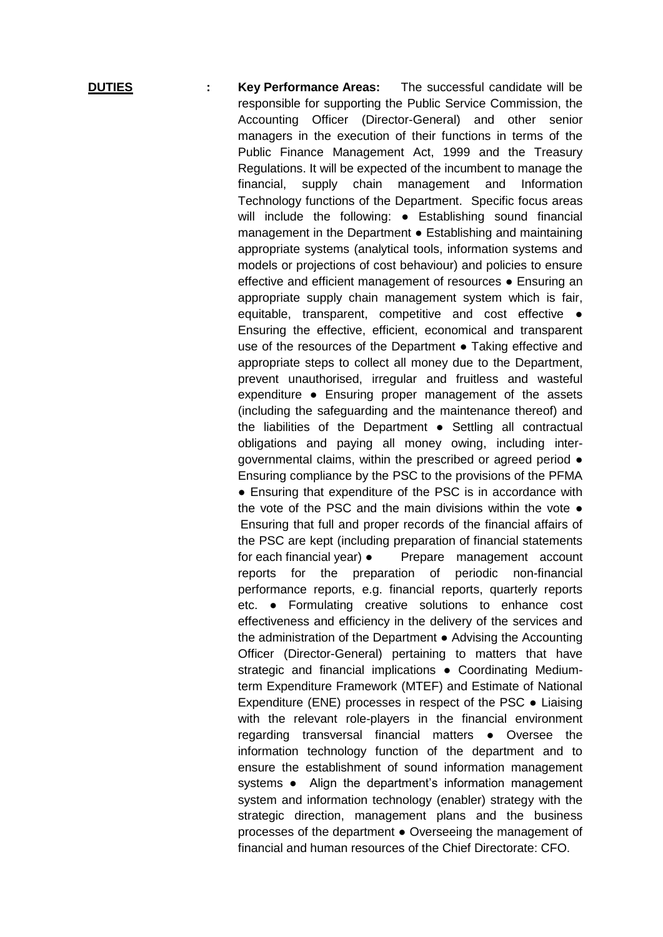**DUTIES : Key Performance Areas:** The successful candidate will be responsible for supporting the Public Service Commission, the Accounting Officer (Director-General) and other senior managers in the execution of their functions in terms of the Public Finance Management Act, 1999 and the Treasury Regulations. It will be expected of the incumbent to manage the financial, supply chain management and Information Technology functions of the Department. Specific focus areas will include the following: • Establishing sound financial management in the Department ● Establishing and maintaining appropriate systems (analytical tools, information systems and models or projections of cost behaviour) and policies to ensure effective and efficient management of resources ● Ensuring an appropriate supply chain management system which is fair, equitable, transparent, competitive and cost effective  $\bullet$ Ensuring the effective, efficient, economical and transparent use of the resources of the Department • Taking effective and appropriate steps to collect all money due to the Department, prevent unauthorised, irregular and fruitless and wasteful expenditure ● Ensuring proper management of the assets (including the safeguarding and the maintenance thereof) and the liabilities of the Department ● Settling all contractual obligations and paying all money owing, including intergovernmental claims, within the prescribed or agreed period ● Ensuring compliance by the PSC to the provisions of the PFMA ● Ensuring that expenditure of the PSC is in accordance with the vote of the PSC and the main divisions within the vote  $\bullet$ Ensuring that full and proper records of the financial affairs of the PSC are kept (including preparation of financial statements for each financial year) • Prepare management account reports for the preparation of periodic non-financial performance reports, e.g. financial reports, quarterly reports etc. ● Formulating creative solutions to enhance cost effectiveness and efficiency in the delivery of the services and the administration of the Department ● Advising the Accounting Officer (Director-General) pertaining to matters that have strategic and financial implications • Coordinating Mediumterm Expenditure Framework (MTEF) and Estimate of National Expenditure (ENE) processes in respect of the PSC ● Liaising with the relevant role-players in the financial environment regarding transversal financial matters ● Oversee the information technology function of the department and to ensure the establishment of sound information management systems • Align the department's information management system and information technology (enabler) strategy with the strategic direction, management plans and the business processes of the department ● Overseeing the management of financial and human resources of the Chief Directorate: CFO.